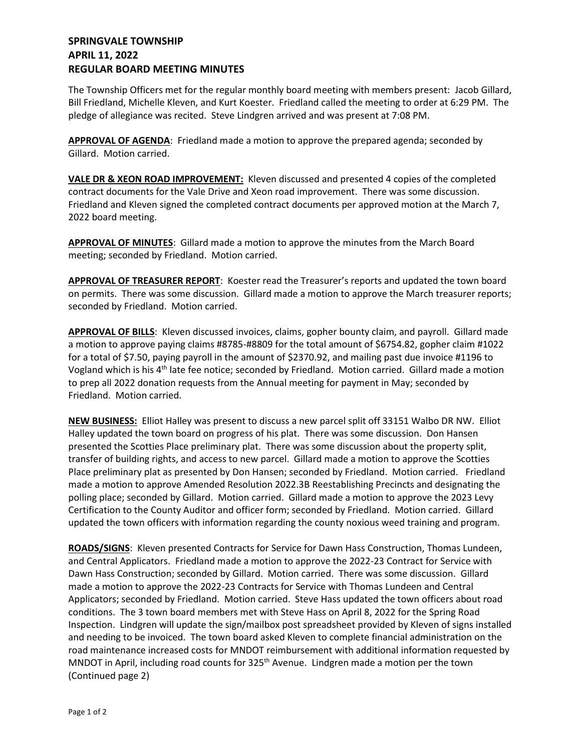## **SPRINGVALE TOWNSHIP APRIL 11, 2022 REGULAR BOARD MEETING MINUTES**

The Township Officers met for the regular monthly board meeting with members present: Jacob Gillard, Bill Friedland, Michelle Kleven, and Kurt Koester. Friedland called the meeting to order at 6:29 PM. The pledge of allegiance was recited. Steve Lindgren arrived and was present at 7:08 PM.

**APPROVAL OF AGENDA**: Friedland made a motion to approve the prepared agenda; seconded by Gillard. Motion carried.

**VALE DR & XEON ROAD IMPROVEMENT:** Kleven discussed and presented 4 copies of the completed contract documents for the Vale Drive and Xeon road improvement. There was some discussion. Friedland and Kleven signed the completed contract documents per approved motion at the March 7, 2022 board meeting.

**APPROVAL OF MINUTES**: Gillard made a motion to approve the minutes from the March Board meeting; seconded by Friedland. Motion carried.

**APPROVAL OF TREASURER REPORT**: Koester read the Treasurer's reports and updated the town board on permits. There was some discussion. Gillard made a motion to approve the March treasurer reports; seconded by Friedland. Motion carried.

**APPROVAL OF BILLS**: Kleven discussed invoices, claims, gopher bounty claim, and payroll. Gillard made a motion to approve paying claims #8785-#8809 for the total amount of \$6754.82, gopher claim #1022 for a total of \$7.50, paying payroll in the amount of \$2370.92, and mailing past due invoice #1196 to Vogland which is his 4<sup>th</sup> late fee notice; seconded by Friedland. Motion carried. Gillard made a motion to prep all 2022 donation requests from the Annual meeting for payment in May; seconded by Friedland. Motion carried.

**NEW BUSINESS:** Elliot Halley was present to discuss a new parcel split off 33151 Walbo DR NW. Elliot Halley updated the town board on progress of his plat. There was some discussion. Don Hansen presented the Scotties Place preliminary plat. There was some discussion about the property split, transfer of building rights, and access to new parcel. Gillard made a motion to approve the Scotties Place preliminary plat as presented by Don Hansen; seconded by Friedland. Motion carried. Friedland made a motion to approve Amended Resolution 2022.3B Reestablishing Precincts and designating the polling place; seconded by Gillard. Motion carried. Gillard made a motion to approve the 2023 Levy Certification to the County Auditor and officer form; seconded by Friedland. Motion carried. Gillard updated the town officers with information regarding the county noxious weed training and program.

**ROADS/SIGNS**: Kleven presented Contracts for Service for Dawn Hass Construction, Thomas Lundeen, and Central Applicators. Friedland made a motion to approve the 2022-23 Contract for Service with Dawn Hass Construction; seconded by Gillard. Motion carried. There was some discussion. Gillard made a motion to approve the 2022-23 Contracts for Service with Thomas Lundeen and Central Applicators; seconded by Friedland. Motion carried. Steve Hass updated the town officers about road conditions. The 3 town board members met with Steve Hass on April 8, 2022 for the Spring Road Inspection. Lindgren will update the sign/mailbox post spreadsheet provided by Kleven of signs installed and needing to be invoiced. The town board asked Kleven to complete financial administration on the road maintenance increased costs for MNDOT reimbursement with additional information requested by MNDOT in April, including road counts for 325<sup>th</sup> Avenue. Lindgren made a motion per the town (Continued page 2)